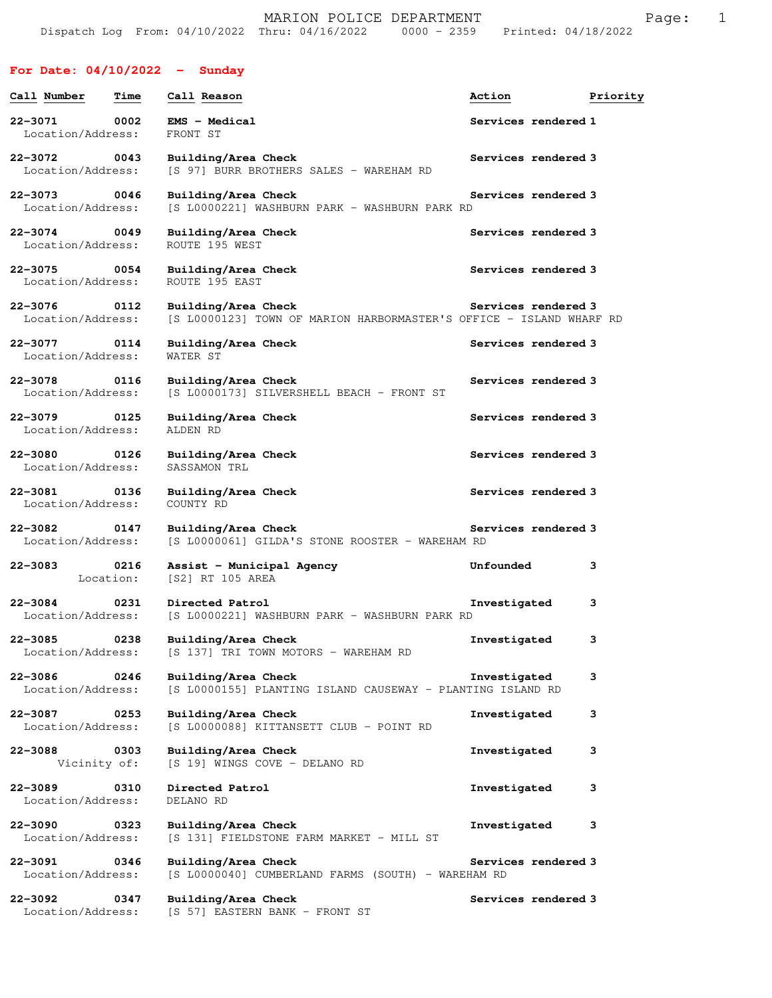MARION POLICE DEPARTMENT Fage: 1 Dispatch Log From: 04/10/2022 Thru: 04/16/2022 0000 - 2359 Printed: 04/18/2022

## **For Date: 04/10/2022 - Sunday**

| Call Number                              | Time              | Call Reason                                                                                | Action              | Priority |
|------------------------------------------|-------------------|--------------------------------------------------------------------------------------------|---------------------|----------|
| 22-3071<br>Location/Address:             | 0002              | <b>EMS - Medical</b><br>FRONT ST                                                           | Services rendered 1 |          |
| 22-3072<br>0043<br>Location/Address:     |                   | Building/Area Check<br>[S 97] BURR BROTHERS SALES - WAREHAM RD                             | Services rendered 3 |          |
| 22-3073<br>0046<br>Location/Address:     |                   | Building/Area Check<br>[S L0000221] WASHBURN PARK - WASHBURN PARK RD                       | Services rendered 3 |          |
| 22-3074 0049<br>Location/Address:        |                   | Building/Area Check<br>ROUTE 195 WEST                                                      | Services rendered 3 |          |
| $22 - 3075$<br>Location/Address:         | 0054              | Building/Area Check<br>ROUTE 195 EAST                                                      | Services rendered 3 |          |
| 22-3076<br>Location/Address:             | 0112              | Building/Area Check<br>[S L0000123] TOWN OF MARION HARBORMASTER'S OFFICE - ISLAND WHARF RD | Services rendered 3 |          |
| 22-3077<br>Location/Address:             | 0114              | Building/Area Check<br>WATER ST                                                            | Services rendered 3 |          |
| 22-3078<br>Location/Address:             | 0116              | Building/Area Check<br>[S L0000173] SILVERSHELL BEACH - FRONT ST                           | Services rendered 3 |          |
| $22 - 3079$<br>Location/Address:         | 0125              | Building/Area Check<br>ALDEN RD                                                            | Services rendered 3 |          |
| $22 - 3080$<br>0126<br>Location/Address: |                   | Building/Area Check<br>SASSAMON TRL                                                        | Services rendered 3 |          |
| 22-3081<br>Location/Address:             | 0136              | Building/Area Check<br>COUNTY RD                                                           | Services rendered 3 |          |
| $22 - 3082$<br>0147<br>Location/Address: |                   | Building/Area Check<br>[S L0000061] GILDA'S STONE ROOSTER - WAREHAM RD                     | Services rendered 3 |          |
| $22 - 3083$                              | 0216<br>Location: | Assist - Municipal Agency<br>[S2] RT 105 AREA                                              | Unfounded           | 3        |
| $22 - 3084$<br>Location/Address:         | 0231              | Directed Patrol<br>[S L0000221] WASHBURN PARK - WASHBURN PARK RD                           | Investigated        | з        |
| $22 - 3085$<br>Location/Address:         | 0238              | Building/Area Check<br>[S 137] TRI TOWN MOTORS - WAREHAM RD                                | Investigated        | 3        |
| $22 - 3086$<br>Location/Address:         | 0246              | Building/Area Check<br>[S L0000155] PLANTING ISLAND CAUSEWAY - PLANTING ISLAND RD          | Investigated        | з        |
| 22-3087<br>Location/Address:             | 0253              | Building/Area Check<br>[S L0000088] KITTANSETT CLUB - POINT RD                             | Investigated        | з        |
| 22-3088<br>Vicinity of:                  | 0303              | Building/Area Check<br>[S 19] WINGS COVE - DELANO RD                                       | Investigated        | з        |
| $22 - 3089$<br>Location/Address:         | 0310              | Directed Patrol<br>DELANO RD                                                               | Investigated        | з        |
| $22 - 3090$<br>Location/Address:         | 0323              | Building/Area Check<br>[S 131] FIELDSTONE FARM MARKET - MILL ST                            | Investigated        | з        |
| $22 - 3091$<br>Location/Address:         | 0346              | Building/Area Check<br>[S L0000040] CUMBERLAND FARMS (SOUTH) - WAREHAM RD                  | Services rendered 3 |          |
| 22-3092<br>Location/Address:             | 0347              | Building/Area Check<br>[S 57] EASTERN BANK - FRONT ST                                      | Services rendered 3 |          |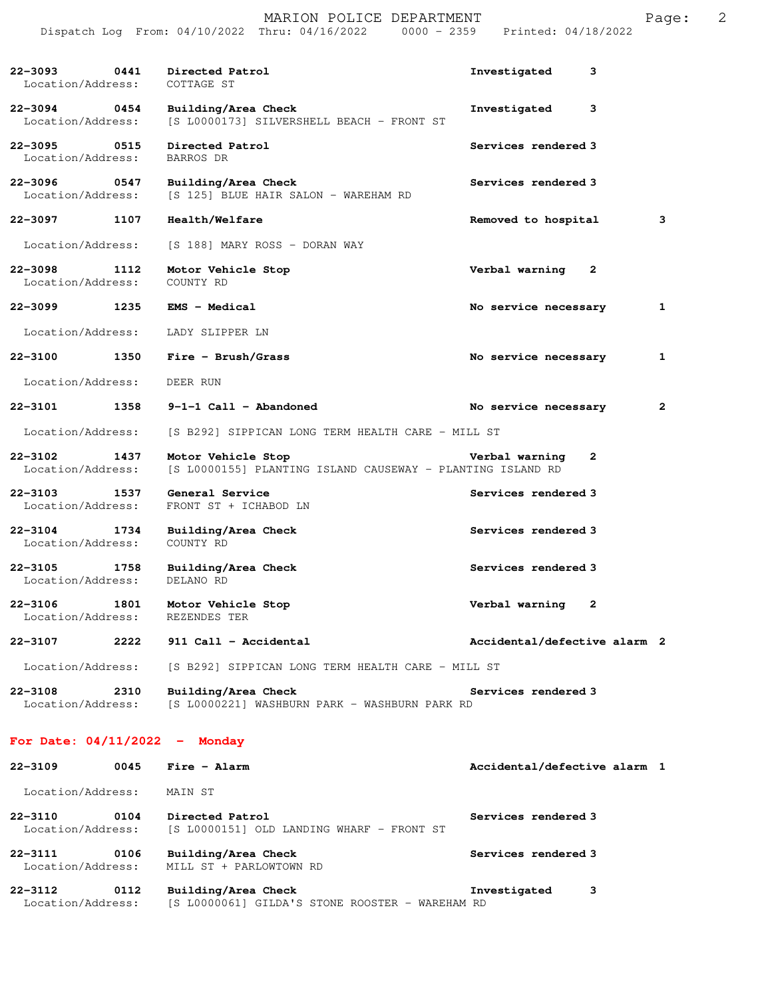|                                   |      | Dispatch Log From: 04/10/2022 Thru: 04/16/2022<br>$0000 - 2359$                  | Printed: 04/18/2022            |              |
|-----------------------------------|------|----------------------------------------------------------------------------------|--------------------------------|--------------|
| 22-3093 0441<br>Location/Address: |      | Directed Patrol<br>COTTAGE ST                                                    | Investigated<br>3              |              |
| 22-3094 0454<br>Location/Address: |      | Building/Area Check<br>[S L0000173] SILVERSHELL BEACH - FRONT ST                 | Investigated<br>3              |              |
| $22 - 3095$<br>Location/Address:  | 0515 | Directed Patrol<br><b>BARROS DR</b>                                              | Services rendered 3            |              |
| $22 - 3096$<br>Location/Address:  | 0547 | Building/Area Check<br>[S 125] BLUE HAIR SALON - WAREHAM RD                      | Services rendered 3            |              |
| 22-3097                           | 1107 | Health/Welfare                                                                   | Removed to hospital            | 3            |
| Location/Address:                 |      | [S 188] MARY ROSS - DORAN WAY                                                    |                                |              |
| $22 - 3098$<br>Location/Address:  | 1112 | Motor Vehicle Stop<br>COUNTY RD                                                  | Verbal warning<br>$\mathbf{2}$ |              |
| $22 - 3099$                       | 1235 | <b>EMS - Medical</b>                                                             | No service necessary           | $\mathbf{1}$ |
| Location/Address:                 |      | LADY SLIPPER LN                                                                  |                                |              |
| 22-3100                           | 1350 | $Fire - Brush/Grass$                                                             | No service necessary           | 1            |
| Location/Address:                 |      | DEER RUN                                                                         |                                |              |
| 22-3101                           | 1358 | $9-1-1$ Call - Abandoned                                                         | No service necessary           | $\mathbf{2}$ |
| Location/Address:                 |      | [S B292] SIPPICAN LONG TERM HEALTH CARE - MILL ST                                |                                |              |
| 22-3102<br>Location/Address:      | 1437 | Motor Vehicle Stop<br>[S L0000155] PLANTING ISLAND CAUSEWAY - PLANTING ISLAND RD | Verbal warning<br>$\mathbf{2}$ |              |
| $22 - 3103$<br>Location/Address:  | 1537 | General Service<br>FRONT ST + ICHABOD LN                                         | Services rendered 3            |              |
| $22 - 3104$<br>Location/Address:  | 1734 | Building/Area Check<br>COUNTY RD                                                 | Services rendered 3            |              |
| $22 - 3105$<br>Location/Address:  | 1758 | Building/Area Check<br>DELANO RD                                                 | Services rendered 3            |              |
| 22-3106<br>Location/Address:      | 1801 | Motor Vehicle Stop<br>REZENDES TER                                               | Verbal warning<br>2            |              |
| 22-3107                           | 2222 | 911 Call - Accidental                                                            | Accidental/defective alarm 2   |              |
| Location/Address:                 |      | [S B292] SIPPICAN LONG TERM HEALTH CARE - MILL ST                                |                                |              |
| 22-3108<br>Location/Address:      | 2310 | Building/Area Check<br>[S L0000221] WASHBURN PARK - WASHBURN PARK RD             | Services rendered 3            |              |
| For Date: $04/11/2022 -$ Monday   |      |                                                                                  |                                |              |
| 22-3109                           | 0045 | Fire - Alarm                                                                     | Accidental/defective alarm 1   |              |
| Location/Address:                 |      | MAIN ST                                                                          |                                |              |
| 22-3110<br>Location/Address:      | 0104 | Directed Patrol<br>[S L0000151] OLD LANDING WHARF - FRONT ST                     | Services rendered 3            |              |
| $22 - 3111$<br>Location/Address:  | 0106 | Building/Area Check<br>MILL ST + PARLOWTOWN RD                                   | Services rendered 3            |              |
| $22 - 3112$<br>Location/Address:  | 0112 | Building/Area Check<br>[S L0000061] GILDA'S STONE ROOSTER - WAREHAM RD           | Investigated<br>3              |              |

MARION POLICE DEPARTMENT Fage: 2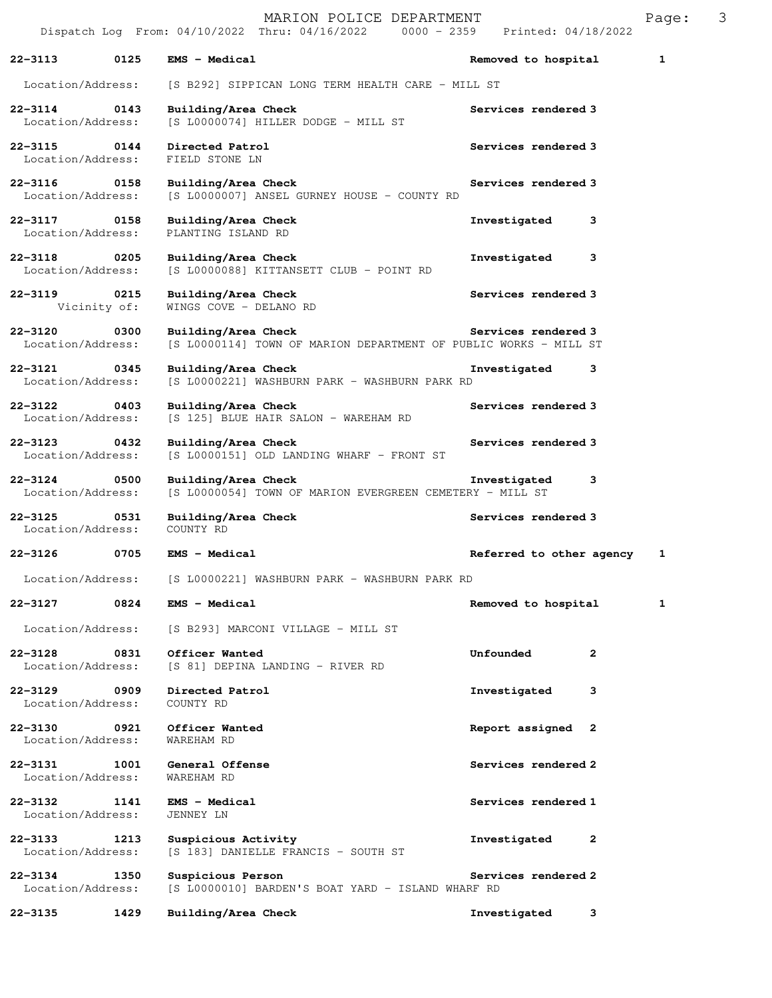|                                   |                      | MARION POLICE DEPARTMENT<br>Dispatch Log From: 04/10/2022 Thru: 04/16/2022 0000 - 2359 Printed: 04/18/2022 |                           | Page: | 3 |
|-----------------------------------|----------------------|------------------------------------------------------------------------------------------------------------|---------------------------|-------|---|
| 22-3113                           | 0125                 | <b>EMS - Medical</b>                                                                                       | Removed to hospital       | 1     |   |
| Location/Address:                 |                      | [S B292] SIPPICAN LONG TERM HEALTH CARE - MILL ST                                                          |                           |       |   |
| 22-3114 0143<br>Location/Address: |                      | Building/Area Check<br>$[S L0000074]$ HILLER DODGE - MILL ST                                               | Services rendered 3       |       |   |
| 22-3115 0144<br>Location/Address: |                      | Directed Patrol<br>FIELD STONE LN                                                                          | Services rendered 3       |       |   |
| 22-3116 0158<br>Location/Address: |                      | Building/Area Check<br>[S L0000007] ANSEL GURNEY HOUSE - COUNTY RD                                         | Services rendered 3       |       |   |
| 22-3117 0158<br>Location/Address: |                      | Building/Area Check<br>PLANTING ISLAND RD                                                                  | Investigated<br>3         |       |   |
| 22-3118 0205<br>Location/Address: |                      | Building/Area Check<br>[S L0000088] KITTANSETT CLUB - POINT RD                                             | 3<br>Investigated         |       |   |
| 22-3119                           | 0215<br>Vicinity of: | Building/Area Check<br>WINGS COVE - DELANO RD                                                              | Services rendered 3       |       |   |
| 22-3120<br>Location/Address:      | $\overline{0}$ 0300  | Building/Area Check<br>[S L0000114] TOWN OF MARION DEPARTMENT OF PUBLIC WORKS - MILL ST                    | Services rendered 3       |       |   |
| 22-3121 0345<br>Location/Address: |                      | Building/Area Check<br>[S L0000221] WASHBURN PARK - WASHBURN PARK RD                                       | Investigated<br>3         |       |   |
| 22-3122 0403<br>Location/Address: |                      | Building/Area Check<br>[S 125] BLUE HAIR SALON - WAREHAM RD                                                | Services rendered 3       |       |   |
| $22 - 3123$<br>Location/Address:  | $\sim$ 0432          | Building/Area Check<br>[S L0000151] OLD LANDING WHARF - FRONT ST                                           | Services rendered 3       |       |   |
| $22 - 3124$<br>Location/Address:  | 0500                 | Building/Area Check<br>[S L0000054] TOWN OF MARION EVERGREEN CEMETERY - MILL ST                            | Investigated<br>3         |       |   |
| $22 - 3125$<br>Location/Address:  | 0531                 | Building/Area Check<br>COUNTY RD                                                                           | Services rendered 3       |       |   |
| 22-3126                           | 0705                 | EMS - Medical                                                                                              | Referred to other agency  | 1     |   |
| Location/Address:                 |                      | [S L0000221] WASHBURN PARK - WASHBURN PARK RD                                                              |                           |       |   |
| 22-3127                           | 0824                 | EMS - Medical                                                                                              | Removed to hospital       | 1     |   |
| Location/Address:                 |                      | [S B293] MARCONI VILLAGE - MILL ST                                                                         |                           |       |   |
| 22-3128<br>Location/Address:      | 0831                 | Officer Wanted<br>[S 81] DEPINA LANDING - RIVER RD                                                         | Unfounded<br>$\mathbf{2}$ |       |   |
| $22 - 3129$<br>Location/Address:  | 0909                 | Directed Patrol<br>COUNTY RD                                                                               | Investigated<br>3         |       |   |
| 22-3130<br>Location/Address:      | 0921                 | Officer Wanted<br>WAREHAM RD                                                                               | Report assigned 2         |       |   |
| 22-3131<br>Location/Address:      | 1001                 | General Offense<br>WAREHAM RD                                                                              | Services rendered 2       |       |   |
| 22-3132<br>Location/Address:      | 1141                 | <b>EMS - Medical</b><br>JENNEY LN                                                                          | Services rendered 1       |       |   |
| 22-3133<br>Location/Address:      | 1213                 | Suspicious Activity<br>[S 183] DANIELLE FRANCIS - SOUTH ST                                                 | Investigated<br>2         |       |   |
| 22-3134<br>Location/Address:      | 1350                 | Suspicious Person<br>[S L0000010] BARDEN'S BOAT YARD - ISLAND WHARF RD                                     | Services rendered 2       |       |   |
| 22-3135                           | 1429                 | Building/Area Check                                                                                        | Investigated<br>3         |       |   |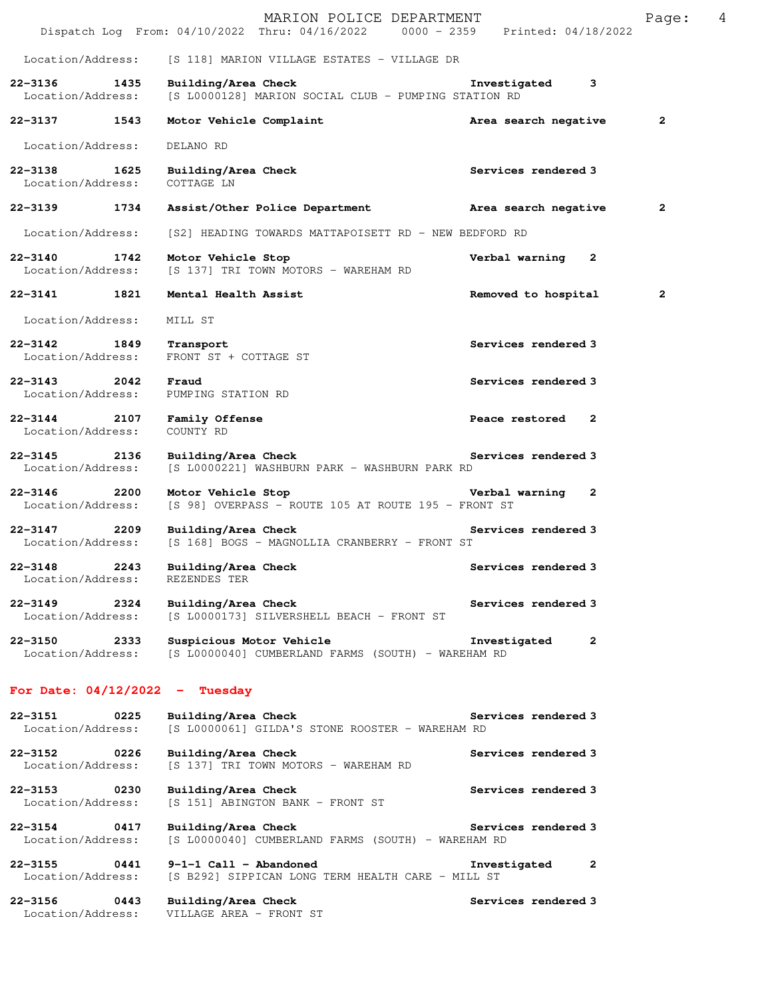|                                          |      | MARION POLICE DEPARTMENT<br>Dispatch Log From: 04/10/2022 Thru: 04/16/2022 0000 - 2359 Printed: 04/18/2022 |                                | Page:          | 4 |
|------------------------------------------|------|------------------------------------------------------------------------------------------------------------|--------------------------------|----------------|---|
|                                          |      |                                                                                                            |                                |                |   |
| Location/Address:                        |      | [S 118] MARION VILLAGE ESTATES - VILLAGE DR                                                                |                                |                |   |
| $22 - 3136$<br>1435<br>Location/Address: |      | Building/Area Check<br>[S L0000128] MARION SOCIAL CLUB - PUMPING STATION RD                                | Investigated<br>3              |                |   |
| 22-3137 1543                             |      | Motor Vehicle Complaint                                                                                    | Area search negative           | $\overline{2}$ |   |
| Location/Address:                        |      | DELANO RD                                                                                                  |                                |                |   |
| $22 - 3138$<br>1625<br>Location/Address: |      | Building/Area Check<br>COTTAGE LN                                                                          | Services rendered 3            |                |   |
| $22 - 3139$                              | 1734 | Assist/Other Police Department Area search negative                                                        |                                | $\mathbf{2}$   |   |
| Location/Address:                        |      | [S2] HEADING TOWARDS MATTAPOISETT RD - NEW BEDFORD RD                                                      |                                |                |   |
| 22–3140 1742<br>Location/Address:        |      | Motor Vehicle Stop<br>[S 137] TRI TOWN MOTORS - WAREHAM RD                                                 | Verbal warning<br>$\mathbf{2}$ |                |   |
| 22-3141 1821                             |      | Mental Health Assist                                                                                       | Removed to hospital            | $\mathbf{2}$   |   |
| Location/Address:                        |      | MILL ST                                                                                                    |                                |                |   |
| 22-3142 1849<br>Location/Address:        |      | Transport<br>FRONT ST + COTTAGE ST                                                                         | Services rendered 3            |                |   |
| $22 - 3143$ 2042<br>Location/Address:    |      | Fraud<br>PUMPING STATION RD                                                                                | Services rendered 3            |                |   |
| 22-3144 2107<br>Location/Address:        |      | Family Offense<br>COUNTY RD                                                                                | Peace restored<br>-2           |                |   |
| $22 - 3145$<br>2136<br>Location/Address: |      | Building/Area Check<br>[S L0000221] WASHBURN PARK - WASHBURN PARK RD                                       | Services rendered 3            |                |   |
| $22 - 3146$<br>2200<br>Location/Address: |      | Motor Vehicle Stop<br>[S 98] OVERPASS - ROUTE 105 AT ROUTE 195 - FRONT ST                                  | Verbal warning<br>2            |                |   |
| 22–3147 2209<br>Location/Address:        |      | Building/Area Check<br>[S 168] BOGS - MAGNOLLIA CRANBERRY - FRONT ST                                       | Services rendered 3            |                |   |
| 22-3148<br>Location/Address:             | 2243 | Building/Area Check<br>REZENDES TER                                                                        | Services rendered 3            |                |   |
| $22 - 3149$<br>Location/Address:         | 2324 | Building/Area Check<br>[S L0000173] SILVERSHELL BEACH - FRONT ST                                           | Services rendered 3            |                |   |
| 22-3150<br>Location/Address:             | 2333 | Suspicious Motor Vehicle<br>[S L0000040] CUMBERLAND FARMS (SOUTH) - WAREHAM RD                             | Investigated<br>$\mathbf{2}$   |                |   |
| For Date: $04/12/2022 -$ Tuesday         |      |                                                                                                            |                                |                |   |
| 22-3151<br>Location/Address:             | 0225 | Building/Area Check<br>[S L0000061] GILDA'S STONE ROOSTER - WAREHAM RD                                     | Services rendered 3            |                |   |
| $22 - 3152$<br>Location/Address:         | 0226 | Building/Area Check<br>[S 137] TRI TOWN MOTORS - WAREHAM RD                                                | Services rendered 3            |                |   |
| $22 - 3153$<br>Location/Address:         | 0230 | Building/Area Check<br>[S 151] ABINGTON BANK - FRONT ST                                                    | Services rendered 3            |                |   |
| 22-3154                                  | 0417 | Building/Area Check                                                                                        | Services rendered 3            |                |   |

Location/Address: [S L0000040] CUMBERLAND FARMS (SOUTH) - WAREHAM RD

**22-3155 0441 9-1-1 Call - Abandoned Investigated 2**  Location/Address: [S B292] SIPPICAN LONG TERM HEALTH CARE - MILL ST

**22-3156 0443 Building/Area Check Services rendered 3**  Location/Address: VILLAGE AREA - FRONT ST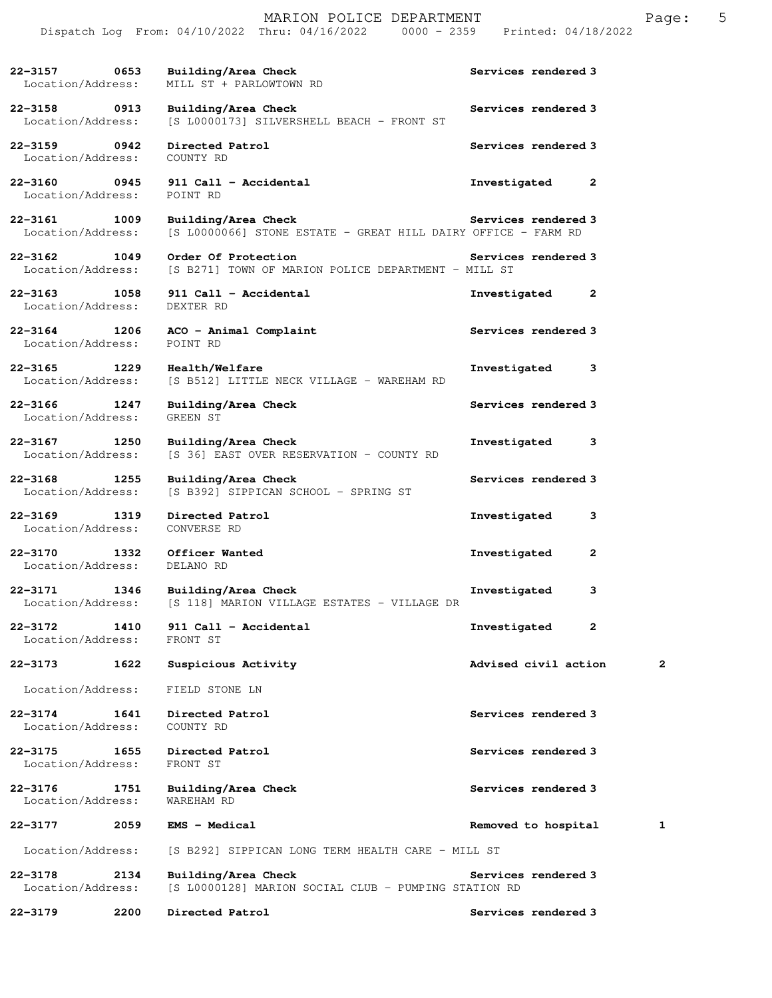|                                   |      | Dispatch Log From: 04/10/2022 Thru: 04/16/2022 0000 - 2359                           |                     | Printed: 04/18/2022  |              |
|-----------------------------------|------|--------------------------------------------------------------------------------------|---------------------|----------------------|--------------|
| 22–3157 0653<br>Location/Address: |      | Building/Area Check<br>MILL ST + PARLOWTOWN RD                                       | Services rendered 3 |                      |              |
| 22-3158 0913<br>Location/Address: |      | Building/Area Check<br>[S L0000173] SILVERSHELL BEACH - FRONT ST                     | Services rendered 3 |                      |              |
| 22-3159 0942<br>Location/Address: |      | Directed Patrol<br>COUNTY RD                                                         | Services rendered 3 |                      |              |
| Location/Address:                 |      | 22-3160 0945 911 Call - Accidental<br>POINT RD                                       | Investigated        |                      | 2            |
| 22-3161 1009<br>Location/Address: |      | Building/Area Check<br>[S L0000066] STONE ESTATE - GREAT HILL DAIRY OFFICE - FARM RD | Services rendered 3 |                      |              |
| 22-3162 1049<br>Location/Address: |      | Order Of Protection<br>[S B271] TOWN OF MARION POLICE DEPARTMENT - MILL ST           | Services rendered 3 |                      |              |
| 22-3163 1058<br>Location/Address: |      | 911 Call - Accidental<br>DEXTER RD                                                   | Investigated        |                      | 2            |
| 22-3164 1206<br>Location/Address: |      | ACO - Animal Complaint<br>POINT RD                                                   | Services rendered 3 |                      |              |
| 22–3165 1229<br>Location/Address: |      | <b>Health/Welfare</b><br>[S B512] LITTLE NECK VILLAGE - WAREHAM RD                   | Investigated        |                      | 3            |
| 22-3166 1247<br>Location/Address: |      | Building/Area Check<br>GREEN ST                                                      | Services rendered 3 |                      |              |
| 22-3167 1250<br>Location/Address: |      | Building/Area Check<br>[S 36] EAST OVER RESERVATION - COUNTY RD                      | Investigated        |                      | 3            |
| $22 - 3168$<br>Location/Address:  | 1255 | Building/Area Check<br>[S B392] SIPPICAN SCHOOL - SPRING ST                          |                     | Services rendered 3  |              |
| 22-3169 1319<br>Location/Address: |      | Directed Patrol<br>CONVERSE RD                                                       | Investigated        |                      | 3            |
| $22 - 3170$<br>Location/Address:  |      | 1332 Officer Wanted<br>DELANO RD                                                     | Investigated        |                      | $\mathbf{2}$ |
| 22-3171<br>Location/Address:      | 1346 | Building/Area Check<br>[S 118] MARION VILLAGE ESTATES - VILLAGE DR                   | Investigated        |                      | з            |
| $22 - 3172$<br>Location/Address:  | 1410 | 911 Call - Accidental<br>FRONT ST                                                    | Investigated        |                      | 2            |
| $22 - 3173$                       | 1622 | Suspicious Activity                                                                  |                     | Advised civil action | 2            |
| Location/Address:                 |      | FIELD STONE LN                                                                       |                     |                      |              |
| 22-3174<br>Location/Address:      | 1641 | Directed Patrol<br>COUNTY RD                                                         |                     | Services rendered 3  |              |
| $22 - 3175$<br>Location/Address:  | 1655 | Directed Patrol<br>FRONT ST                                                          |                     | Services rendered 3  |              |
| 22-3176<br>Location/Address:      | 1751 | Building/Area Check<br><b>WAREHAM RD</b>                                             |                     | Services rendered 3  |              |
| 22-3177                           | 2059 | EMS - Medical                                                                        | Removed to hospital |                      | 1            |
| Location/Address:                 |      | [S B292] SIPPICAN LONG TERM HEALTH CARE - MILL ST                                    |                     |                      |              |
| $22 - 3178$<br>Location/Address:  | 2134 | Building/Area Check<br>[S L0000128] MARION SOCIAL CLUB - PUMPING STATION RD          | Services rendered 3 |                      |              |
| $22 - 3179$                       | 2200 | Directed Patrol                                                                      |                     | Services rendered 3  |              |

MARION POLICE DEPARTMENT FRAGE: 5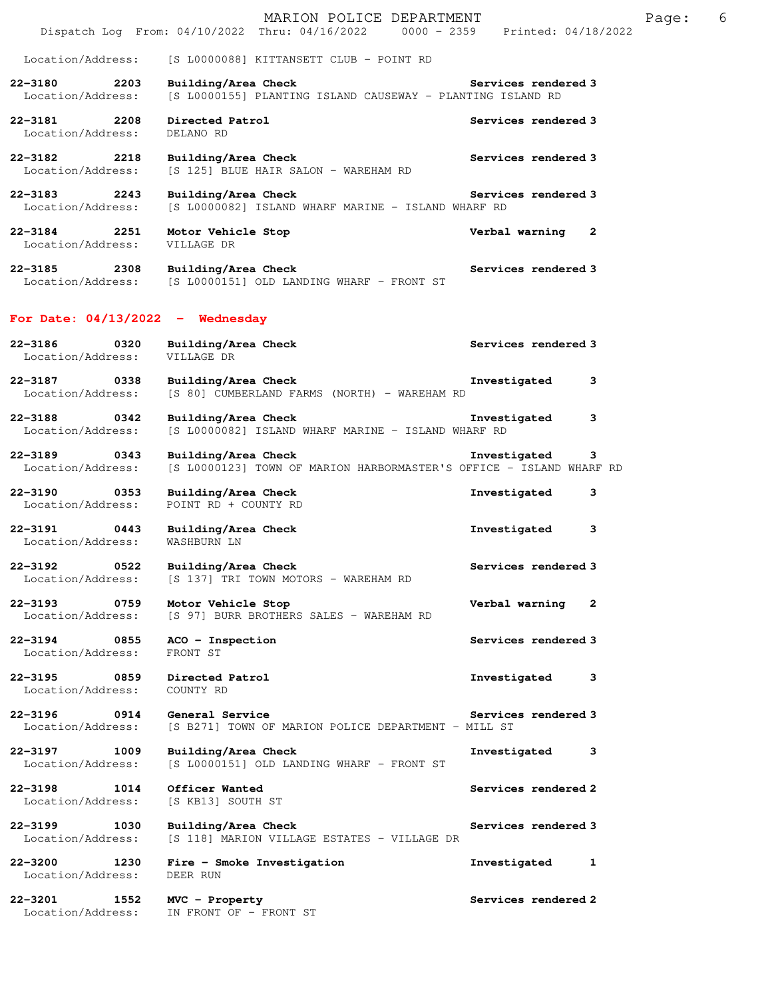|                                                         | MARION POLICE DEPARTMENT<br>Dispatch Log From: 04/10/2022 Thru: 04/16/2022 0000 - 2359 Printed: 04/18/2022 |                                | Page: | 6 |
|---------------------------------------------------------|------------------------------------------------------------------------------------------------------------|--------------------------------|-------|---|
| Location/Address:                                       | [S L0000088] KITTANSETT CLUB - POINT RD                                                                    |                                |       |   |
| 22-3180<br>2203<br>Location/Address:                    | Building/Area Check<br>[S L0000155] PLANTING ISLAND CAUSEWAY - PLANTING ISLAND RD                          | Services rendered 3            |       |   |
| 22-3181 2208<br>Location/Address:                       | Directed Patrol<br>DELANO RD                                                                               | Services rendered 3            |       |   |
| 22-3182<br>2218<br>Location/Address:                    | Building/Area Check<br>[S 125] BLUE HAIR SALON - WAREHAM RD                                                | Services rendered 3            |       |   |
| 22–3183 2243<br>Location/Address:                       | Building/Area Check<br>[S L0000082] ISLAND WHARF MARINE - ISLAND WHARF RD                                  | Services rendered 3            |       |   |
| 22-3184 2251<br>Location/Address:                       | Motor Vehicle Stop<br>VILLAGE DR                                                                           | Verbal warning 2               |       |   |
| $22 - 3185$<br>2308<br>Location/Address:                | Building/Area Check<br>[S L0000151] OLD LANDING WHARF - FRONT ST                                           | Services rendered 3            |       |   |
| For Date: $04/13/2022 -$ Wednesday                      |                                                                                                            |                                |       |   |
| 22-3186<br>0320<br>Location/Address:                    | Building/Area Check<br>VILLAGE DR                                                                          | Services rendered 3            |       |   |
| 22-3187 0338<br>Location/Address:                       | Building/Area Check<br>[S 80] CUMBERLAND FARMS (NORTH) - WAREHAM RD                                        | Investigated<br>3              |       |   |
| 22-3188 0342<br>Location/Address:                       | Building/Area Check<br>[S L0000082] ISLAND WHARF MARINE - ISLAND WHARF RD                                  | Investigated<br>3              |       |   |
| $22 - 3189$<br>$\overline{0}$ 0343<br>Location/Address: | Building/Area Check<br>[S L0000123] TOWN OF MARION HARBORMASTER'S OFFICE - ISLAND WHARF RD                 | Investigated<br>3              |       |   |
| 22-3190<br>Location/Address:                            | Building/Area Check<br>POINT RD + COUNTY RD                                                                | Investigated<br>3              |       |   |
| 22-3191<br>$\sim$ 0443<br>Location/Address:             | Building/Area Check<br>WASHBURN LN                                                                         | 3<br>Investigated              |       |   |
| 0522<br>$22 - 3192$<br>Location/Address:                | Building/Area Check<br>[S 137] TRI TOWN MOTORS - WAREHAM RD                                                | Services rendered 3            |       |   |
| 0759<br>22-3193<br>Location/Address:                    | Motor Vehicle Stop<br>[S 97] BURR BROTHERS SALES - WAREHAM RD                                              | Verbal warning<br>$\mathbf{2}$ |       |   |
| 22-3194 0855<br>Location/Address:                       | ACO - Inspection<br>FRONT ST                                                                               | Services rendered 3            |       |   |
| 22-3195<br>0859<br>Location/Address:                    | Directed Patrol<br>COUNTY RD                                                                               | Investigated<br>3              |       |   |
| $22 - 3196$<br>0914<br>Location/Address:                | General Service<br>[S B271] TOWN OF MARION POLICE DEPARTMENT - MILL ST                                     | Services rendered 3            |       |   |
| 22-3197<br>1009<br>Location/Address:                    | Building/Area Check<br>[S L0000151] OLD LANDING WHARF - FRONT ST                                           | Investigated<br>3              |       |   |
| 22-3198<br>1014<br>Location/Address:                    | Officer Wanted<br>[S KB13] SOUTH ST                                                                        | Services rendered 2            |       |   |
| $22 - 3199$<br>1030<br>Location/Address:                | Building/Area Check<br>[S 118] MARION VILLAGE ESTATES - VILLAGE DR                                         | Services rendered 3            |       |   |
| 22-3200<br>1230<br>Location/Address:                    | Fire - Smoke Investigation<br>DEER RUN                                                                     | Investigated<br>1              |       |   |
| 22-3201<br>1552<br>Location/Address:                    | MVC - Property<br>IN FRONT OF - FRONT ST                                                                   | Services rendered 2            |       |   |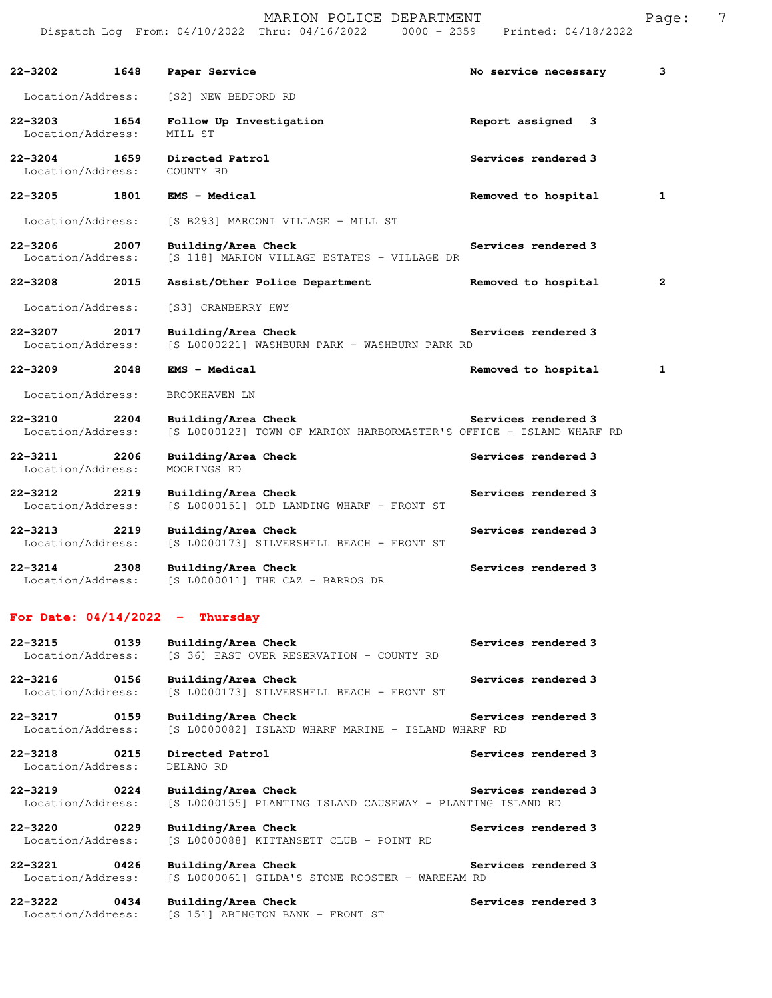|                                   |             | DISPACCH LOG FIOM: 04/10/2022 INIU: 04/10/2022<br>UUUU - 4339                              | PIINLEU; 04/10/2022  |                |
|-----------------------------------|-------------|--------------------------------------------------------------------------------------------|----------------------|----------------|
| 22-3202                           | 1648        | Paper Service                                                                              | No service necessary | 3              |
| Location/Address:                 |             | [S2] NEW BEDFORD RD                                                                        |                      |                |
| 22-3203<br>Location/Address:      | 1654        | Follow Up Investigation<br>MILL ST                                                         | Report assigned<br>3 |                |
| 22-3204 1659<br>Location/Address: |             | Directed Patrol<br>COUNTY RD                                                               | Services rendered 3  |                |
| $22 - 3205$                       | 1801        | <b>EMS - Medical</b>                                                                       | Removed to hospital  | 1              |
| Location/Address:                 |             | [S B293] MARCONI VILLAGE - MILL ST                                                         |                      |                |
| 22-3206<br>Location/Address:      | 2007        | Building/Area Check<br>[S 118] MARION VILLAGE ESTATES - VILLAGE DR                         | Services rendered 3  |                |
| 22-3208                           | 2015        | Assist/Other Police Department                                                             | Removed to hospital  | $\overline{2}$ |
| Location/Address:                 |             | [S3] CRANBERRY HWY                                                                         |                      |                |
| $22 - 3207$<br>Location/Address:  | 2017        | Building/Area Check<br>[S L0000221] WASHBURN PARK - WASHBURN PARK RD                       | Services rendered 3  |                |
| 22-3209                           | 2048        | <b>EMS - Medical</b>                                                                       | Removed to hospital  | 1              |
| Location/Address:                 |             | BROOKHAVEN LN                                                                              |                      |                |
| $22 - 3210$<br>Location/Address:  | 2204        | Building/Area Check<br>[S L0000123] TOWN OF MARION HARBORMASTER'S OFFICE - ISLAND WHARF RD | Services rendered 3  |                |
| 22-3211<br>Location/Address:      | 2206        | Building/Area Check<br>MOORINGS RD                                                         | Services rendered 3  |                |
| $22 - 3212$<br>Location/Address:  | 2219        | Building/Area Check<br>[S L0000151] OLD LANDING WHARF - FRONT ST                           | Services rendered 3  |                |
| $22 - 3213$<br>Location/Address:  | 2219        | Building/Area Check<br>[S L0000173] SILVERSHELL BEACH - FRONT ST                           | Services rendered 3  |                |
| $22 - 3214$<br>Location/Address:  | 2308        | Building/Area Check<br>[S L0000011] THE CAZ - BARROS DR                                    | Services rendered 3  |                |
|                                   |             | For Date: $04/14/2022 - Thursday$                                                          |                      |                |
| $22 - 3215$<br>Location/Address:  | 0139        | Building/Area Check<br>[S 36] EAST OVER RESERVATION - COUNTY RD                            | Services rendered 3  |                |
| $22 - 3216$<br>Location/Address:  | 0156        | Building/Area Check<br>[S L0000173] SILVERSHELL BEACH - FRONT ST                           | Services rendered 3  |                |
| 22-3217<br>Location/Address:      | 0159        | Building/Area Check<br>[S L0000082] ISLAND WHARF MARINE - ISLAND WHARF RD                  | Services rendered 3  |                |
| $22 - 3218$<br>Location/Address:  | 0215        | Directed Patrol<br>DELANO RD                                                               | Services rendered 3  |                |
| $22 - 3219$<br>Location/Address:  | 0224        | Building/Area Check<br>[S L0000155] PLANTING ISLAND CAUSEWAY - PLANTING ISLAND RD          | Services rendered 3  |                |
| 22-3220<br>Location/Address:      | $\sim$ 0229 | Building/Area Check<br>[S L0000088] KITTANSETT CLUB - POINT RD                             | Services rendered 3  |                |
| $22 - 3221$<br>Location/Address:  | 0426        | Building/Area Check<br>[S L0000061] GILDA'S STONE ROOSTER - WAREHAM RD                     | Services rendered 3  |                |
| 22-3222<br>Location/Address:      | 0434        | Building/Area Check<br>[S 151] ABINGTON BANK - FRONT ST                                    | Services rendered 3  |                |

MARION POLICE DEPARTMENT FRAGE: 7 Dispatch Log From: 04/10/2022 Thru: 04/16/2022 0000 - 2359 Printed: 04/18/2022

Location/Address: [S 151] ABINGTON BANK - FRONT ST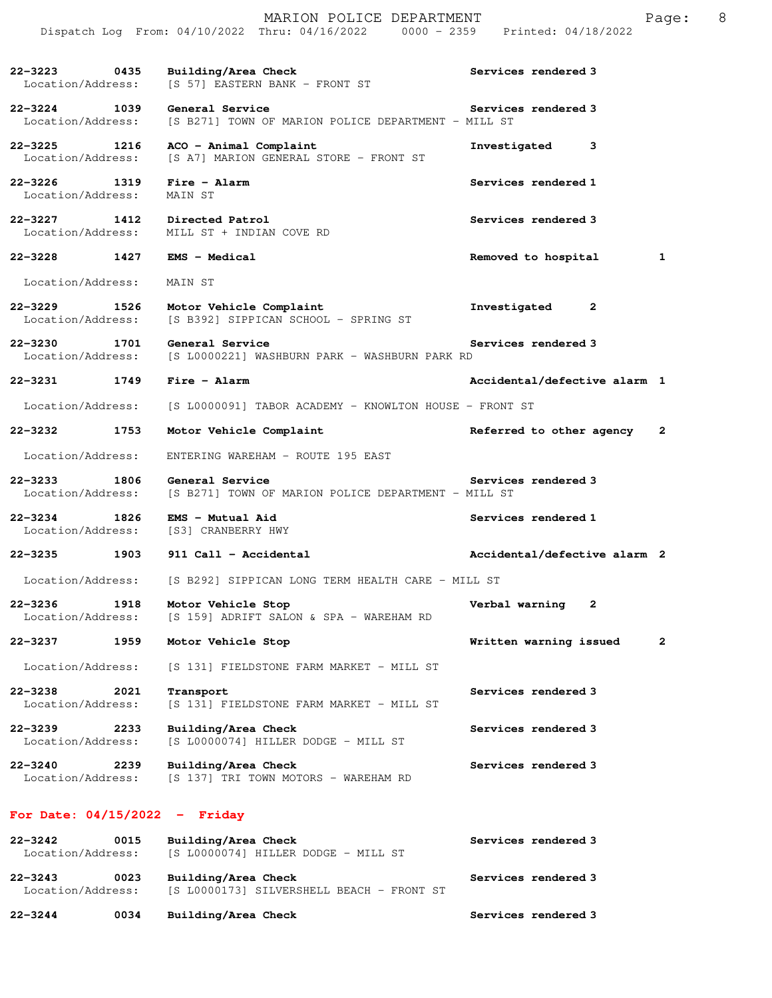|                                      |      | Dispatch Log From: 04/10/2022 Thru: 04/16/2022 0000 - 2359 Printed: 04/18/2022 |                              |              |
|--------------------------------------|------|--------------------------------------------------------------------------------|------------------------------|--------------|
| 22–3223 0435<br>Location/Address:    |      | Building/Area Check<br>[S 57] EASTERN BANK - FRONT ST                          | Services rendered 3          |              |
| 22-3224 1039<br>Location/Address:    |      | General Service<br>[S B271] TOWN OF MARION POLICE DEPARTMENT - MILL ST         | Services rendered 3          |              |
| 22-3225 1216<br>Location/Address:    |      | ACO - Animal Complaint<br>[S A7] MARION GENERAL STORE - FRONT ST               | Investigated<br>3            |              |
| 22-3226 1319<br>Location/Address:    |      | $Fire - Alarm$<br>MAIN ST                                                      | Services rendered 1          |              |
| 22–3227<br>Location/Address:         | 1412 | Directed Patrol<br>MILL ST + INDIAN COVE RD                                    | Services rendered 3          |              |
| $22 - 3228$                          | 1427 | <b>EMS - Medical</b>                                                           | Removed to hospital          | $\mathbf{1}$ |
| Location/Address:                    |      | MAIN ST                                                                        |                              |              |
| 22–3229 1526<br>Location/Address:    |      | Motor Vehicle Complaint<br>[S B392] SIPPICAN SCHOOL - SPRING ST                | $\mathbf{2}$<br>Investigated |              |
| 22-3230<br>Location/Address:         | 1701 | General Service<br>[S L0000221] WASHBURN PARK - WASHBURN PARK RD               | Services rendered 3          |              |
| 22-3231 1749                         |      | $Fire - Alarm$                                                                 | Accidental/defective alarm 1 |              |
| Location/Address:                    |      | [S L0000091] TABOR ACADEMY - KNOWLTON HOUSE - FRONT ST                         |                              |              |
| 22-3232                              | 1753 | Motor Vehicle Complaint                                                        | Referred to other agency 2   |              |
| Location/Address:                    |      | ENTERING WAREHAM - ROUTE 195 EAST                                              |                              |              |
| 22-3233<br>1806<br>Location/Address: |      | General Service<br>[S B271] TOWN OF MARION POLICE DEPARTMENT - MILL ST         | Services rendered 3          |              |
| 22–3234 1826<br>Location/Address:    |      | EMS - Mutual Aid<br>[S3] CRANBERRY HWY                                         | Services rendered 1          |              |
| 22-3235<br>1903                      |      | 911 Call - Accidental                                                          | Accidental/defective alarm 2 |              |
| Location/Address:                    |      | [S B292] SIPPICAN LONG TERM HEALTH CARE - MILL ST                              |                              |              |
| 22-3236<br>Location/Address:         | 1918 | Motor Vehicle Stop<br>[S 159] ADRIFT SALON & SPA - WAREHAM RD                  | Verbal warning<br>2          |              |
| $22 - 3237$                          | 1959 | Motor Vehicle Stop                                                             | Written warning issued       | 2            |
| Location/Address:                    |      | [S 131] FIELDSTONE FARM MARKET - MILL ST                                       |                              |              |
| 22-3238<br>Location/Address:         | 2021 | Transport<br>[S 131] FIELDSTONE FARM MARKET - MILL ST                          | Services rendered 3          |              |
| 22-3239<br>Location/Address:         | 2233 | Building/Area Check<br>[S L0000074] HILLER DODGE - MILL ST                     | Services rendered 3          |              |
| $22 - 3240$<br>Location/Address:     | 2239 | Building/Area Check<br>[S 137] TRI TOWN MOTORS - WAREHAM RD                    | Services rendered 3          |              |
| For Date: $04/15/2022 -$ Friday      |      |                                                                                |                              |              |
| $22 - 3242$<br>Location/Address:     | 0015 | Building/Area Check<br>[S L0000074] HILLER DODGE - MILL ST                     | Services rendered 3          |              |

22-3243 0023 Building/Area Check **Services rendered 3** 

**22-3244 0034 Building/Area Check Services rendered 3** 

Location/Address: [S L0000173] SILVERSHELL BEACH - FRONT ST

MARION POLICE DEPARTMENT Page: 8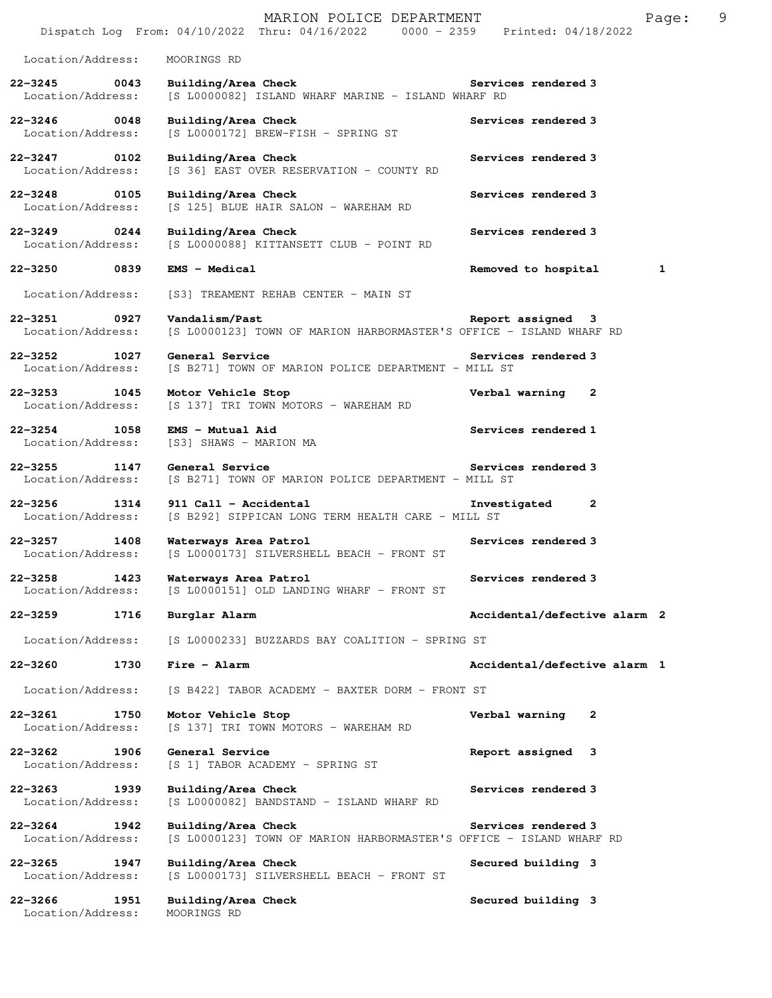|                                                       | MARION POLICE DEPARTMENT<br>Dispatch Log From: 04/10/2022 Thru: 04/16/2022 0000 - 2359 Printed: 04/18/2022 | 9<br>Page:                   |
|-------------------------------------------------------|------------------------------------------------------------------------------------------------------------|------------------------------|
| Location/Address:                                     | MOORINGS RD                                                                                                |                              |
| $22 - 3245$ 0043<br>Location/Address:                 | Building/Area Check<br>[S L0000082] ISLAND WHARF MARINE - ISLAND WHARF RD                                  | Services rendered 3          |
| 22-3246 0048<br>Location/Address:                     | Building/Area Check<br>$[S L0000172] BREW-FISH - SPRING ST$                                                | Services rendered 3          |
| $22 - 3247$<br>0102<br>Location/Address:              | Building/Area Check<br>[S 36] EAST OVER RESERVATION - COUNTY RD                                            | Services rendered 3          |
| 22-3248 0105<br>Location/Address:                     | Building/Area Check<br>[S 125] BLUE HAIR SALON - WAREHAM RD                                                | Services rendered 3          |
| $22 - 3249$<br>$\overline{0244}$<br>Location/Address: | Building/Area Check<br>[S L0000088] KITTANSETT CLUB - POINT RD                                             | Services rendered 3          |
| 22-3250<br>0839                                       | $EMS - Medical$                                                                                            | Removed to hospital<br>1     |
| Location/Address:                                     | [S3] TREAMENT REHAB CENTER - MAIN ST                                                                       |                              |
| 22-3251 0927<br>Location/Address:                     | Vandalism/Past<br>[S L0000123] TOWN OF MARION HARBORMASTER'S OFFICE - ISLAND WHARF RD                      | Report assigned 3            |
| 22-3252 1027<br>Location/Address:                     | General Service<br>[S B271] TOWN OF MARION POLICE DEPARTMENT - MILL ST                                     | Services rendered 3          |
| 22-3253 1045<br>Location/Address:                     | Motor Vehicle Stop<br>[S 137] TRI TOWN MOTORS - WAREHAM RD                                                 | Verbal warning 2             |
| $22 - 3254$<br>1058<br>Location/Address:              | EMS - Mutual Aid<br>[S3] SHAWS - MARION MA                                                                 | Services rendered 1          |
| $22 - 3255$<br>1147<br>Location/Address:              | General Service<br>[S B271] TOWN OF MARION POLICE DEPARTMENT - MILL ST                                     | Services rendered 3          |
| $22 - 3256$<br>1314<br>Location/Address:              | 911 Call - Accidental<br>[S B292] SIPPICAN LONG TERM HEALTH CARE - MILL ST                                 | $\mathbf{2}$<br>Investigated |
| 22-3257 1408<br>Location/Address:                     | Waterways Area Patrol<br>[S L0000173] SILVERSHELL BEACH - FRONT ST                                         | Services rendered 3          |
| $22 - 3258$<br>1423<br>Location/Address:              | Waterways Area Patrol<br>[S L0000151] OLD LANDING WHARF - FRONT ST                                         | Services rendered 3          |
| 22-3259<br>1716                                       | Burglar Alarm                                                                                              | Accidental/defective alarm 2 |
| Location/Address:                                     | [S L0000233] BUZZARDS BAY COALITION - SPRING ST                                                            |                              |
| $22 - 3260$<br>1730                                   | Fire - Alarm                                                                                               | Accidental/defective alarm 1 |
| Location/Address:                                     | [S B422] TABOR ACADEMY - BAXTER DORM - FRONT ST                                                            |                              |
| 22-3261<br>1750<br>Location/Address:                  | Motor Vehicle Stop<br>[S 137] TRI TOWN MOTORS - WAREHAM RD                                                 | Verbal warning<br>2          |
| $22 - 3262$<br>1906<br>Location/Address:              | General Service<br>[S 1] TABOR ACADEMY - SPRING ST                                                         | Report assigned 3            |
| 22-3263<br>1939<br>Location/Address:                  | Building/Area Check<br>[S L0000082] BANDSTAND - ISLAND WHARF RD                                            | Services rendered 3          |
| 22-3264<br>1942<br>Location/Address:                  | Building/Area Check<br>[S L0000123] TOWN OF MARION HARBORMASTER'S OFFICE - ISLAND WHARF RD                 | Services rendered 3          |
| $22 - 3265$<br>1947<br>Location/Address:              | Building/Area Check<br>[S L0000173] SILVERSHELL BEACH - FRONT ST                                           | Secured building 3           |
| $22 - 3266$<br>1951<br>Location/Address:              | Building/Area Check<br>MOORINGS RD                                                                         | Secured building 3           |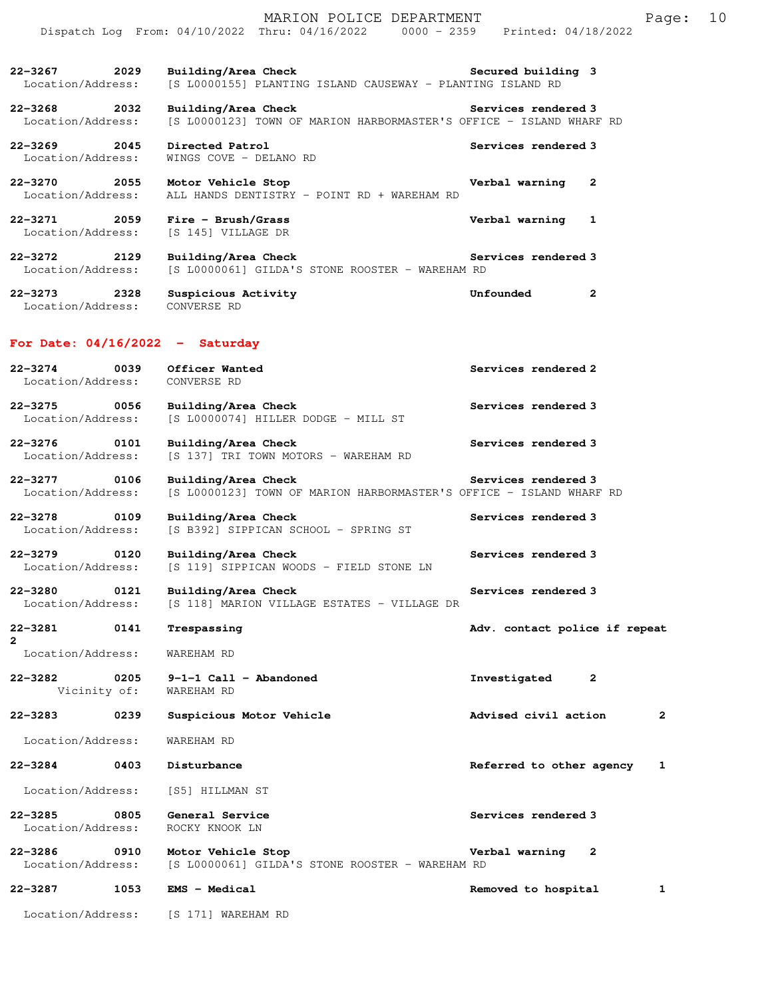|                                          |      | MARION POLICE DEPARTMENT                                                                   |                                | 10<br>Page:  |  |
|------------------------------------------|------|--------------------------------------------------------------------------------------------|--------------------------------|--------------|--|
|                                          |      | Dispatch Log From: 04/10/2022 Thru: 04/16/2022 0000 - 2359 Printed: 04/18/2022             |                                |              |  |
| $22 - 3267$<br>Location/Address:         | 2029 | Building/Area Check<br>[S L0000155] PLANTING ISLAND CAUSEWAY - PLANTING ISLAND RD          | Secured building 3             |              |  |
| 22-3268 2032<br>Location/Address:        |      | Building/Area Check<br>[S L0000123] TOWN OF MARION HARBORMASTER'S OFFICE - ISLAND WHARF RD | Services rendered 3            |              |  |
| $22 - 3269$<br>2045<br>Location/Address: |      | Directed Patrol<br>WINGS COVE - DELANO RD                                                  | Services rendered 3            |              |  |
| 22-3270 2055<br>Location/Address:        |      | Motor Vehicle Stop<br>ALL HANDS DENTISTRY - POINT RD + WAREHAM RD                          | Verbal warning<br>$\mathbf{2}$ |              |  |
| 22-3271 2059<br>Location/Address:        |      | $Fire - Brush/Grass$<br>[S 145] VILLAGE DR                                                 | Verbal warning<br>-1           |              |  |
| 22–3272 2129<br>Location/Address:        |      | Building/Area Check<br>[S L0000061] GILDA'S STONE ROOSTER - WAREHAM RD                     | Services rendered 3            |              |  |
| $22 - 3273$<br>Location/Address:         | 2328 | Suspicious Activity<br>CONVERSE RD                                                         | Unfounded<br>$\mathbf{2}$      |              |  |
| For Date: $04/16/2022 -$ Saturday        |      |                                                                                            |                                |              |  |
| $22 - 3274$<br>Location/Address:         | 0039 | Officer Wanted<br>CONVERSE RD                                                              | Services rendered 2            |              |  |
| 22-3275 0056<br>Location/Address:        |      | Building/Area Check<br>[S L0000074] HILLER DODGE - MILL ST                                 | Services rendered 3            |              |  |
| $22 - 3276$<br>Location/Address:         | 0101 | Building/Area Check<br>[S 137] TRI TOWN MOTORS - WAREHAM RD                                | Services rendered 3            |              |  |
| $22 - 3277$<br>Location/Address:         | 0106 | Building/Area Check<br>[S L0000123] TOWN OF MARION HARBORMASTER'S OFFICE - ISLAND WHARF RD | Services rendered 3            |              |  |
| 0109<br>$22 - 3278$<br>Location/Address: |      | Building/Area Check<br>[S B392] SIPPICAN SCHOOL - SPRING ST                                | Services rendered 3            |              |  |
| $22 - 3279$<br>Location/Address:         | 0120 | Building/Area Check<br>[S 119] SIPPICAN WOODS - FIELD STONE LN                             | Services rendered 3            |              |  |
| $22 - 3280$<br>Location/Address:         | 0121 | Building/Area Check<br>[S 118] MARION VILLAGE ESTATES - VILLAGE DR                         | Services rendered 3            |              |  |
| 22-3281<br>$\mathbf{2}$                  | 0141 | Trespassing                                                                                | Adv. contact police if repeat  |              |  |
| Location/Address:                        |      | WAREHAM RD                                                                                 |                                |              |  |
| $22 - 3282$<br>Vicinity of:              | 0205 | $9-1-1$ Call - Abandoned<br>WAREHAM RD                                                     | Investigated<br>2              |              |  |
| $22 - 3283$                              | 0239 | Suspicious Motor Vehicle                                                                   | Advised civil action           | $\mathbf{2}$ |  |
| Location/Address:                        |      | WAREHAM RD                                                                                 |                                |              |  |
| $22 - 3284$                              | 0403 | Disturbance                                                                                | Referred to other agency       | 1            |  |
| Location/Address:                        |      | [S5] HILLMAN ST                                                                            |                                |              |  |
| $22 - 3285$<br>Location/Address:         | 0805 | General Service<br>ROCKY KNOOK LN                                                          | Services rendered 3            |              |  |
| $22 - 3286$<br>Location/Address:         | 0910 | Motor Vehicle Stop<br>[S L0000061] GILDA'S STONE ROOSTER - WAREHAM RD                      | Verbal warning<br>2            |              |  |
| 22-3287                                  | 1053 | EMS - Medical                                                                              | Removed to hospital            | 1            |  |
| Location/Address:                        |      | [S 171] WAREHAM RD                                                                         |                                |              |  |